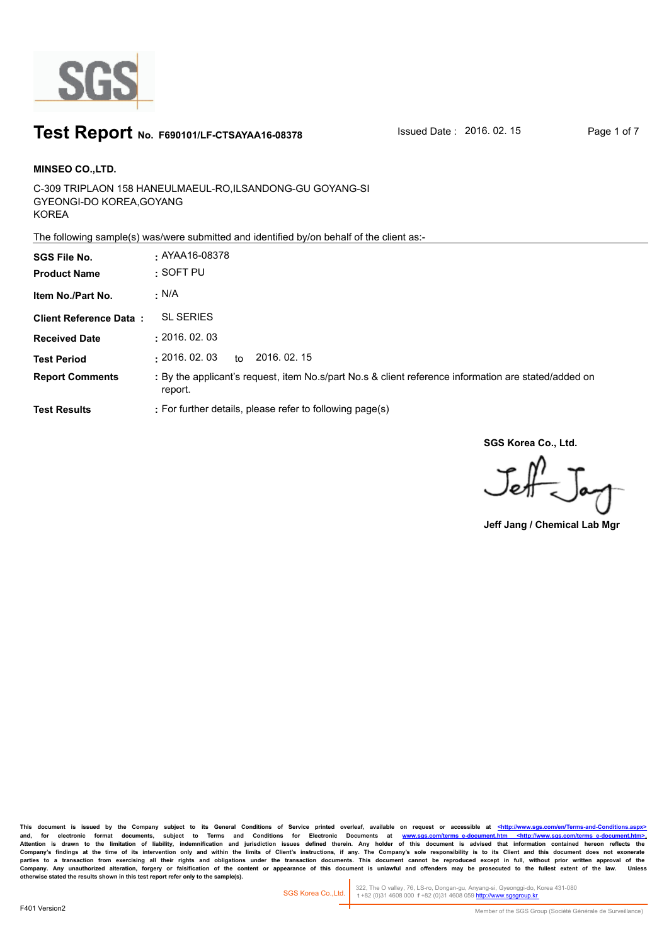

#### **Test Report** No. F690101/LF-CTSAYAA16-08378 **ISSued Date : 2016. 02. 15** Page 1 of 7

C-309 TRIPLAON 158 HANEULMAEUL-RO,ILSANDONG-GU GOYANG-SI GYEONGI-DO KOREA,GOYANG KOREA **MINSEO CO.,LTD. SGS File No. :** AYAA16-08378

The following sample(s) was/were submitted and identified by/on behalf of the client as:-

| <b>SGS File No.</b><br><b>Product Name</b> | $\cdot$ AYAA16-08378<br>$:$ SOFT PU                                                                             |
|--------------------------------------------|-----------------------------------------------------------------------------------------------------------------|
| Item No./Part No.                          | $\cdot$ N/A                                                                                                     |
| <b>Client Reference Data:</b>              | <b>SL SERIES</b>                                                                                                |
| <b>Received Date</b>                       | : 2016.02.03                                                                                                    |
| <b>Test Period</b>                         | : 2016.02.03<br>2016, 02, 15<br>to                                                                              |
| <b>Report Comments</b>                     | : By the applicant's request, item No.s/part No.s & client reference information are stated/added on<br>report. |
| <b>Test Results</b>                        | : For further details, please refer to following page(s)                                                        |

**SGS Korea Co., Ltd.**

 $J_{\rm eff}$ 

**Jeff Jang / Chemical Lab Mgr**

This document is issued by the Company subject to its General Conditions of Service printed overleaf, available on request or accessible at <http://www.sgs.com/en/Terms-and-C and, for electronic format documents, subject to Terms and Conditions for Electronic Documents at <u>www.sgs.com/terms\_e-document.htm <http://www.sgs.com/terms\_e-document.htm>-</u><br>Attention is drawn to the limitation of liabil Company's findings at the time of its intervention only and within the limits of Client's instructions, if any. The Company's sole responsibility is to its Client and this document does not exonerate<br>parties to a transacti Company. Any unauthorized alteration, forgery or falsification of the content or appearance of this document is unlawful and offenders may be prosecuted to the fullest extent of the law. Unless otherwise stated the results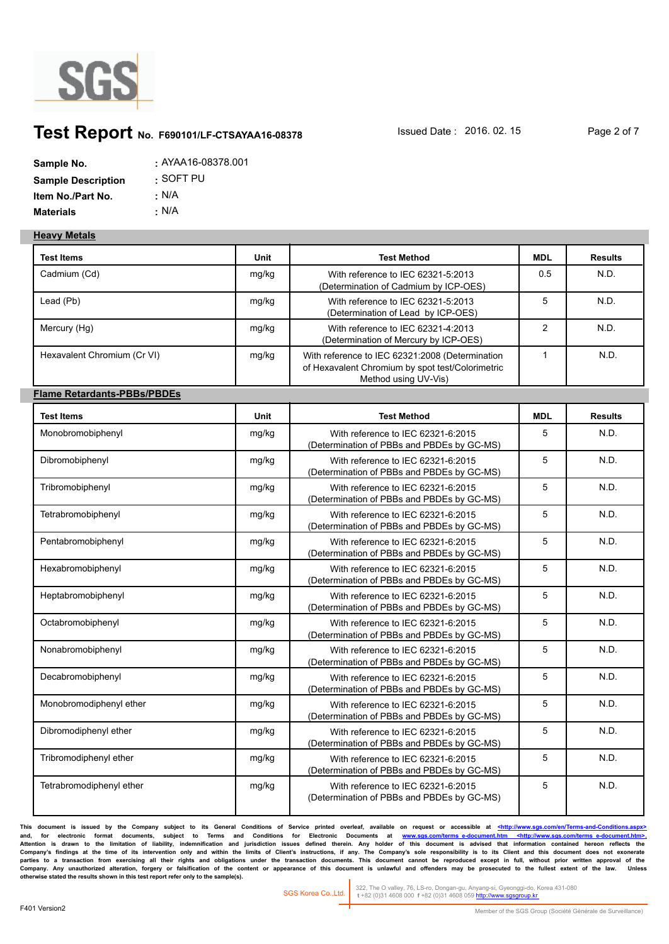

## **Test Report** No. F690101/LF-CTSAYAA16-08378 **Issued Date : 2016. 02. 15** Page 2 of 7

| Sample No.                | : AYAA16-08378.001 |
|---------------------------|--------------------|
| <b>Sample Description</b> | :SOFT PU           |
| Item No./Part No.         | : N/A              |
| <b>Materials</b>          | ∴ N/A              |

#### **Heavy Metals**

| <b>Test Items</b>                  | Unit  | <b>Test Method</b>                                                                                                          | <b>MDL</b>     | <b>Results</b> |
|------------------------------------|-------|-----------------------------------------------------------------------------------------------------------------------------|----------------|----------------|
| Cadmium (Cd)                       | mg/kg | With reference to IEC 62321-5:2013<br>(Determination of Cadmium by ICP-OES)                                                 | 0.5            | N.D.           |
| Lead (Pb)                          | mg/kg | With reference to IEC 62321-5:2013<br>(Determination of Lead by ICP-OES)                                                    | 5              | N.D.           |
| Mercury (Hg)                       | mg/kg | With reference to IEC 62321-4:2013<br>(Determination of Mercury by ICP-OES)                                                 | $\overline{2}$ | N.D.           |
| Hexavalent Chromium (Cr VI)        | mg/kg | With reference to IEC 62321:2008 (Determination<br>of Hexavalent Chromium by spot test/Colorimetric<br>Method using UV-Vis) | $\mathbf{1}$   | N.D.           |
| <b>Flame Retardants-PBBs/PBDEs</b> |       |                                                                                                                             |                |                |
| <b>Test Items</b>                  | Unit  | <b>Test Method</b>                                                                                                          | <b>MDL</b>     | <b>Results</b> |
| Monobromobiphenyl                  | mg/kg | With reference to IEC 62321-6:2015<br>(Determination of PBBs and PBDEs by GC-MS)                                            | 5              | N.D.           |
| Dibromobiphenyl                    | mg/kg | With reference to IEC 62321-6:2015<br>(Determination of PBBs and PBDEs by GC-MS)                                            | 5              | N.D.           |
| Tribromobiphenyl                   | mg/kg | With reference to IEC 62321-6:2015<br>(Determination of PBBs and PBDEs by GC-MS)                                            | 5              | N.D.           |
| Tetrabromobiphenyl                 | mg/kg | With reference to IEC 62321-6:2015<br>(Determination of PBBs and PBDEs by GC-MS)                                            | 5              | N.D.           |
| Pentabromobiphenyl                 | mg/kg | With reference to IEC 62321-6:2015<br>(Determination of PBBs and PBDEs by GC-MS)                                            | 5              | N.D.           |
| Hexabromobiphenyl                  | mg/kg | With reference to IEC 62321-6:2015<br>(Determination of PBBs and PBDEs by GC-MS)                                            | 5              | N.D.           |
| Heptabromobiphenyl                 | mg/kg | With reference to IEC 62321-6:2015<br>(Determination of PBBs and PBDEs by GC-MS)                                            | 5              | N.D.           |
| Octabromobiphenyl                  | mg/kg | With reference to IEC 62321-6:2015<br>(Determination of PBBs and PBDEs by GC-MS)                                            | 5              | N.D.           |
| Nonabromobiphenyl                  | mg/kg | With reference to IEC 62321-6:2015<br>(Determination of PBBs and PBDEs by GC-MS)                                            | 5              | N.D.           |
| Decabromobiphenyl                  | mg/kg | With reference to IEC 62321-6:2015<br>(Determination of PBBs and PBDEs by GC-MS)                                            | 5              | N.D.           |
| Monobromodiphenyl ether            | mg/kg | With reference to IEC 62321-6:2015<br>(Determination of PBBs and PBDEs by GC-MS)                                            | 5              | N.D.           |
| Dibromodiphenyl ether              | mg/kg | With reference to IEC 62321-6:2015<br>(Determination of PBBs and PBDEs by GC-MS)                                            | 5              | N.D.           |
| Tribromodiphenyl ether             | mg/kg | With reference to IEC 62321-6:2015<br>(Determination of PBBs and PBDEs by GC-MS)                                            | 5              | N.D.           |
| Tetrabromodiphenyl ether           | mg/kg | With reference to IEC 62321-6:2015<br>(Determination of PBBs and PBDEs by GC-MS)                                            | 5              | N.D.           |

This document is issued by the Company subject to its General Conditions of Service printed overleaf, available on request or accessible at <http://www.sgs.com/en/Terms-and-Conditions. and, for electronic format documents, subject to Terms and Conditions for Electronic Documents at <u>www.sgs.com/terms\_e-document.htm <http://www.sgs.com/terms\_e-document.htm>-</u><br>Attention is drawn to the limitation of liabil Company's findings at the time of its intervention only and within the limits of Client's instructions, if any. The Company's sole responsibility is to its Client and this document does not exonerate<br>parties to a transacti Company. Any unauthorized alteration, forgery or falsification of the content or appearance of this document is unlawful and offenders may be prosecuted to the fullest extent of the law. Unless otherwise stated the results

322, The O valley, 76, LS-ro, Dongan-gu, Anyang-si, Gyeonggi-do, Korea 431-080  **t** +82 (0)31 4608 000 **f** +82 (0)31 4608 059 http://www.sgsgroup.kr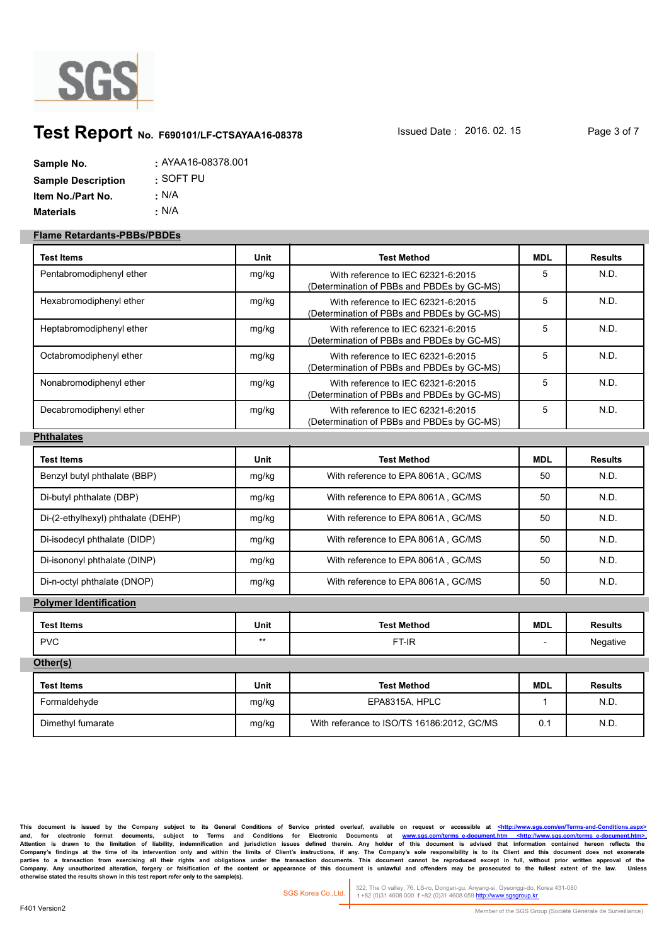

# **Test Report** No. F690101/LF-CTSAYAA16-08378 **ISSued Date : 2016. 02. 15** Page 3 of 7

| Sample No.                | : AYAA16-08378.001 |
|---------------------------|--------------------|
| <b>Sample Description</b> | :SOFT PU           |
| Item No./Part No.         | : N/A              |
| <b>Materials</b>          | ∴ N/A              |

#### **Flame Retardants-PBBs/PBDEs**

| <b>Test Items</b>                  | <b>Unit</b> | <b>Test Method</b>                                                               | <b>MDL</b>   | <b>Results</b> |
|------------------------------------|-------------|----------------------------------------------------------------------------------|--------------|----------------|
| Pentabromodiphenyl ether           | mg/kg       | With reference to IEC 62321-6:2015<br>(Determination of PBBs and PBDEs by GC-MS) | 5            | N.D.           |
| Hexabromodiphenyl ether            | mg/kg       | With reference to IEC 62321-6:2015<br>(Determination of PBBs and PBDEs by GC-MS) | 5            | N.D.           |
| Heptabromodiphenyl ether           | mg/kg       | With reference to IEC 62321-6:2015<br>(Determination of PBBs and PBDEs by GC-MS) | 5            | N.D.           |
| Octabromodiphenyl ether            | mg/kg       | With reference to IEC 62321-6:2015<br>(Determination of PBBs and PBDEs by GC-MS) | 5            | N.D.           |
| Nonabromodiphenyl ether            | mg/kg       | With reference to IEC 62321-6:2015<br>(Determination of PBBs and PBDEs by GC-MS) | 5            | N.D.           |
| Decabromodiphenyl ether            | mg/kg       | With reference to IEC 62321-6:2015<br>(Determination of PBBs and PBDEs by GC-MS) | 5            | N.D.           |
| <b>Phthalates</b>                  |             |                                                                                  |              |                |
| Test Items                         | <b>Unit</b> | <b>Test Method</b>                                                               | <b>MDL</b>   | <b>Results</b> |
| Benzyl butyl phthalate (BBP)       | mg/kg       | With reference to EPA 8061A, GC/MS                                               | 50           | N.D.           |
| Di-butyl phthalate (DBP)           | mg/kg       | With reference to EPA 8061A, GC/MS                                               | 50           | N.D.           |
| Di-(2-ethylhexyl) phthalate (DEHP) | mg/kg       | With reference to EPA 8061A, GC/MS                                               | 50           | N.D.           |
| Di-isodecyl phthalate (DIDP)       | mg/kg       | With reference to EPA 8061A, GC/MS                                               | 50           | N.D.           |
| Di-isononyl phthalate (DINP)       | mg/kg       | With reference to EPA 8061A, GC/MS                                               | 50           | N.D.           |
| Di-n-octyl phthalate (DNOP)        | mg/kg       | With reference to EPA 8061A, GC/MS                                               | 50           | N.D.           |
| <b>Polymer Identification</b>      |             |                                                                                  |              |                |
| <b>Test Items</b>                  | Unit        | <b>Test Method</b>                                                               | <b>MDL</b>   | <b>Results</b> |
| <b>PVC</b>                         | $***$       | FT-IR                                                                            |              | Negative       |
| Other(s)                           |             |                                                                                  |              |                |
| <b>Test Items</b>                  | Unit        | <b>Test Method</b>                                                               | <b>MDL</b>   | <b>Results</b> |
| Formaldehyde                       | mg/kg       | EPA8315A, HPLC                                                                   | $\mathbf{1}$ | N.D.           |
| Dimethyl fumarate                  | mg/kg       | With referance to ISO/TS 16186:2012, GC/MS                                       | 0.1          | N.D.           |

This document is issued by the Company subject to its General Conditions of Service printed overleaf, available on request or accessible at <http://www.sgs.com/en/Termsand, for electronic format documents, subject to Terms and Conditions for Electronic Documents at <u>www.sgs.com/terms\_e-document.htm <http://www.sgs.com/terms\_e-document.htm>-</u><br>Attention is drawn to the limitation of liabil Company's findings at the time of its intervention only and within the limits of Client's instructions, if any. The Company's sole responsibility is to its Client and this document does not exonerate<br>parties to a transacti Company. Any unauthorized alteration, forgery or falsification of the content or appearance of this document is unlawful and offenders may be prosecuted to the fullest extent of the law. Unless otherwise stated the results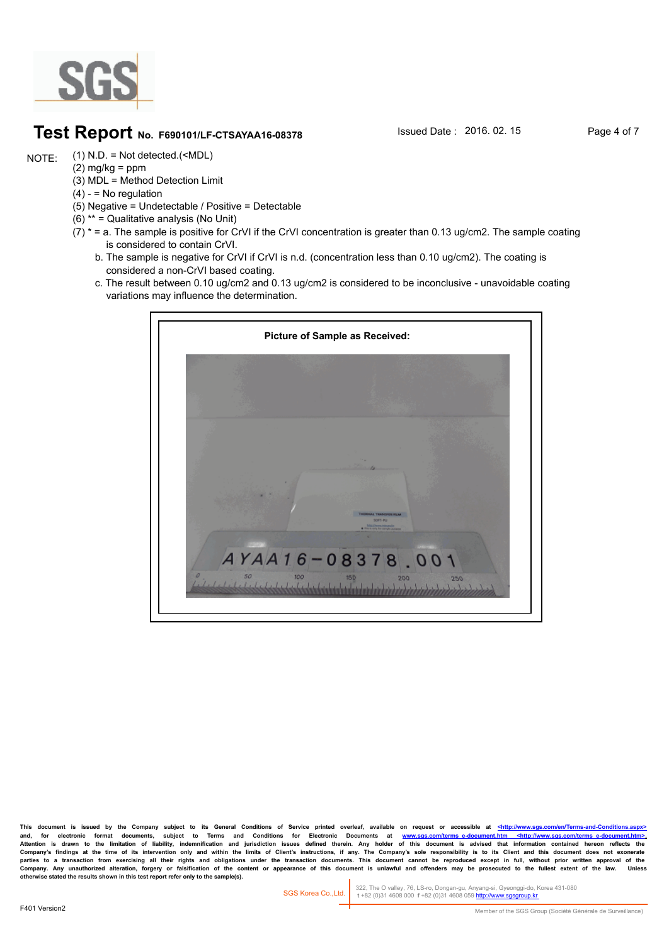

#### **Test Report** No. F690101/LF-CTSAYAA16-08378 **Issued Date : 2016. 02. 15** Page 4 of 7

(1) N.D. = Not detected.(<MDL) NOTE:

- $(2)$  mg/kg = ppm
- (3) MDL = Method Detection Limit
- $(4) -$  = No regulation
- (5) Negative = Undetectable / Positive = Detectable
- (6) \*\* = Qualitative analysis (No Unit)
- $(7)$  \* = a. The sample is positive for CrVI if the CrVI concentration is greater than 0.13 ug/cm2. The sample coating is considered to contain CrVI.
	- b. The sample is negative for CrVI if CrVI is n.d. (concentration less than 0.10 ug/cm2). The coating is considered a non-CrVI based coating.
	- c. The result between 0.10 ug/cm2 and 0.13 ug/cm2 is considered to be inconclusive unavoidable coating variations may influence the determination.



This document is issued by the Company subject to its General Conditions of Service printed overleaf, available on request or accessible at <http://www. and, for electronic format documents, subject to Terms and Conditions for Electronic Documents at <u>www.sgs.com/terms\_e-document.htm <http://www.sgs.com/terms\_e-document.htm>-</u><br>Attention is drawn to the limitation of liabil Company's findings at the time of its intervention only and within the limits of Client's instructions, if any. The Company's sole responsibility is to its Client and this document does not exonerate<br>parties to a transacti Company. Any unauthorized alteration, forgery or falsification of the content or appearance of this document is unlawful and offenders may be prosecuted to the fullest extent of the law.<br>otherwise stated the results shown

322, The O valley, 76, LS-ro, Dongan-gu, Anyang-si, Gyeonggi-do, Korea 431-080  **t** +82 (0)31 4608 000 **f** +82 (0)31 4608 059 http://www.sgsgroup.kr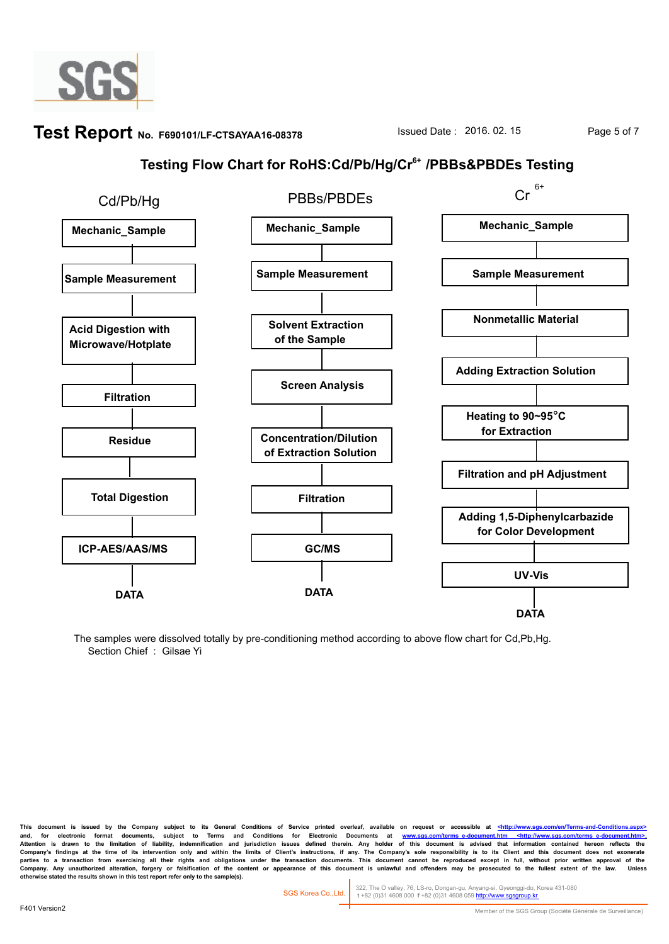

## **Test Report** No. F690101/LF-CTSAYAA16-08378 **ISSued Date : 2016. 02. 15** Page 5 of 7

### **Testing Flow Chart for RoHS:Cd/Pb/Hg/Cr6+ /PBBs&PBDEs Testing**



The samples were dissolved totally by pre-conditioning method according to above flow chart for Cd,Pb,Hg. Section Chief : Gilsae Yi

This document is issued by the Company subject to its General Conditions of Service printed overleaf, available on request or accessible at <http://www.sgs and, for electronic format documents, subject to Terms and Conditions for Electronic Documents at <u>www.sgs.com/terms\_e-document.htm <http://www.sgs.com/terms\_e-document.htm>-</u><br>Attention is drawn to the limitation of liabil Company's findings at the time of its intervention only and within the limits of Client's instructions, if any. The Company's sole responsibility is to its Client and this document does not exonerate<br>parties to a transacti Company. Any unauthorized alteration, forgery or faisification of the content or appearance of this document is unlawful and offenders may be prosecuted to the fullest extent of the law.<br>otherwise stated the results shown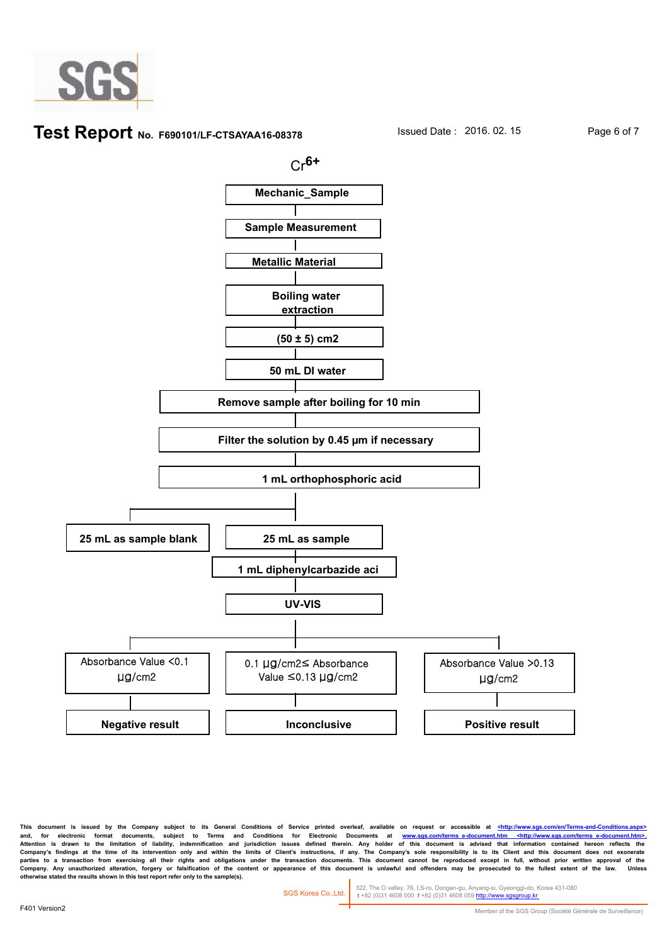

#### **Test Report** No. F690101/LF-CTSAYAA16-08378 **Issued Date : 2016. 02. 15** Page 6 of 7



This document is issued by the Company subject to its General Conditions of Service printed overleaf, available on request or accessible at <http://www. and, for electronic format documents, subject to Terms and Conditions for Electronic Documents at <u>www.sgs.com/terms\_e-document.htm <http://www.sgs.com/terms\_e-document.htm>-</u><br>Attention is drawn to the limitation of liabil Company's findings at the time of its intervention only and within the limits of Client's instructions, if any. The Company's sole responsibility is to its Client and this document does not exonerate<br>parties to a transacti Company. Any unauthorized alteration, forgery or faisification of the content or appearance of this document is unlawful and offenders may be prosecuted to the fullest extent of the law.<br>otherwise stated the results shown